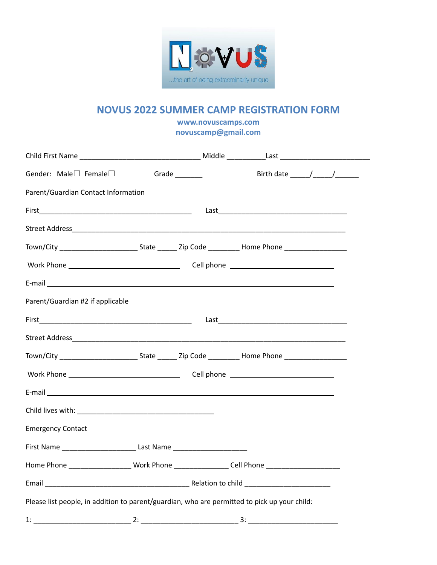

#### **NOVUS 2022 SUMMER CAMP REGISTRATION FORM**

**www.novuscamps.com novuscamp@gmail.com**

| Gender: Male□ Female□ Grade _______                                                                  |  |  |  |  |  |  |
|------------------------------------------------------------------------------------------------------|--|--|--|--|--|--|
| Parent/Guardian Contact Information                                                                  |  |  |  |  |  |  |
|                                                                                                      |  |  |  |  |  |  |
|                                                                                                      |  |  |  |  |  |  |
|                                                                                                      |  |  |  |  |  |  |
|                                                                                                      |  |  |  |  |  |  |
|                                                                                                      |  |  |  |  |  |  |
| Parent/Guardian #2 if applicable                                                                     |  |  |  |  |  |  |
|                                                                                                      |  |  |  |  |  |  |
|                                                                                                      |  |  |  |  |  |  |
|                                                                                                      |  |  |  |  |  |  |
|                                                                                                      |  |  |  |  |  |  |
|                                                                                                      |  |  |  |  |  |  |
|                                                                                                      |  |  |  |  |  |  |
| <b>Emergency Contact</b>                                                                             |  |  |  |  |  |  |
| First Name ___________________________________Last Name ________________________                     |  |  |  |  |  |  |
| Home Phone ___________________________Work Phone ___________________Cell Phone _____________________ |  |  |  |  |  |  |
|                                                                                                      |  |  |  |  |  |  |
| Please list people, in addition to parent/guardian, who are permitted to pick up your child:         |  |  |  |  |  |  |
|                                                                                                      |  |  |  |  |  |  |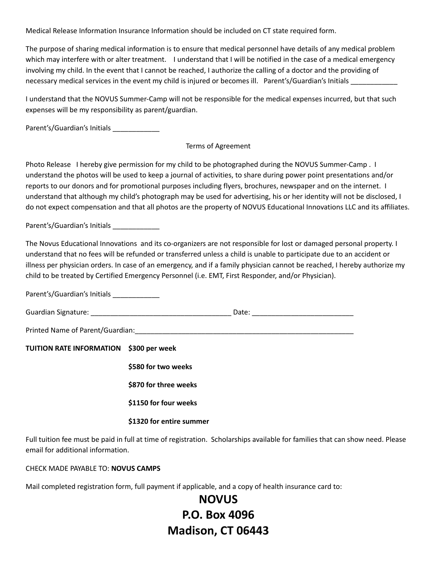Medical Release Information Insurance Information should be included on CT state required form.

The purpose of sharing medical information is to ensure that medical personnel have details of any medical problem which may interfere with or alter treatment. I understand that I will be notified in the case of a medical emergency involving my child. In the event that I cannot be reached, I authorize the calling of a doctor and the providing of necessary medical services in the event my child is injured or becomes ill. Parent's/Guardian's Initials

I understand that the NOVUS Summer-Camp will not be responsible for the medical expenses incurred, but that such expenses will be my responsibility as parent/guardian.

Parent's/Guardian's Initials \_\_\_\_\_\_\_\_\_\_\_\_\_\_

#### Terms of Agreement

Photo Release I hereby give permission for my child to be photographed during the NOVUS Summer-Camp . I understand the photos will be used to keep a journal of activities, to share during power point presentations and/or reports to our donors and for promotional purposes including flyers, brochures, newspaper and on the internet. I understand that although my child's photograph may be used for advertising, his or her identity will not be disclosed, I do not expect compensation and that all photos are the property of NOVUS Educational Innovations LLC and its affiliates.

Parent's/Guardian's Initials \_\_\_\_\_\_\_\_\_\_\_\_\_

The Novus Educational Innovations and its co-organizers are not responsible for lost or damaged personal property. I understand that no fees will be refunded or transferred unless a child is unable to participate due to an accident or illness per physician orders. In case of an emergency, and if a family physician cannot be reached, I hereby authorize my child to be treated by Certified Emergency Personnel (i.e. EMT, First Responder, and/or Physician).

Parent's/Guardian's Initials \_\_\_\_\_\_\_\_\_\_\_\_\_ Guardian Signature: \_\_\_\_\_\_\_\_\_\_\_\_\_\_\_\_\_\_\_\_\_\_\_\_\_\_\_\_\_\_\_\_\_\_\_\_ Date: \_\_\_\_\_\_\_\_\_\_\_\_\_\_\_\_\_\_\_\_\_\_\_\_\_\_ Printed Name of Parent/Guardian:  $\Box$ **TUITION RATE INFORMATION \$300 per week \$580 for two weeks \$870 for three weeks \$1150 for four weeks \$1320 for entire summer**

Full tuition fee must be paid in full at time of registration. Scholarships available for families that can show need. Please email for additional information.

CHECK MADE PAYABLE TO: **NOVUS CAMPS**

Mail completed registration form, full payment if applicable, and a copy of health insurance card to:

# **NOVUS P.O. Box 4096 Madison, CT 06443**